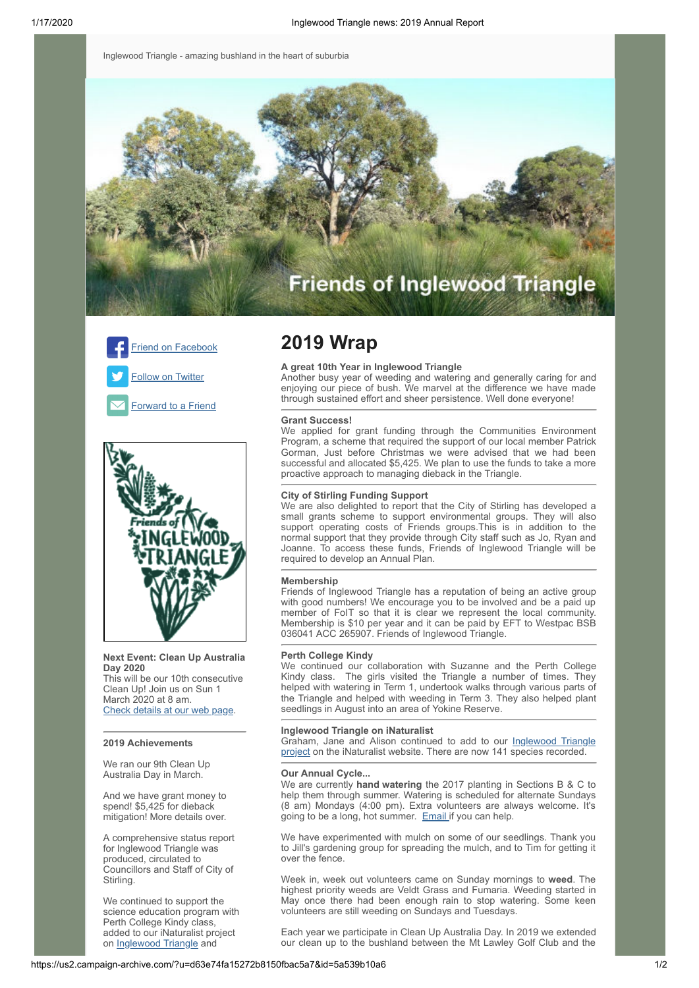Inglewood Triangle - amazing bushland in the heart of suburbia







# **Next Event: Clean Up Australia Day 2020**

This will be our 10th consecutive Clean Up! Join us on Sun 1 March 2020 at 8 am. [Check details at our web page.](https://www.cleanupaustraliaday.org.au/fundraisers/inglewoodtriangle/1574213273)

## **2019 Achievements**

We ran our 9th Clean Up Australia Day in March.

And we have grant money to spend! \$5,425 for dieback mitigation! More details over.

A comprehensive status report for Inglewood Triangle was produced, circulated to Councillors and Staff of City of **Stirling** 

We continued to support the science education program with Perth College Kindy class, added to our iNaturalist project on **Inglewood Triangle** and

# **2019 Wrap**

# **A great 10th Year in Inglewood Triangle**

Another busy year of weeding and watering and generally caring for and enjoying our piece of bush. We marvel at the difference we have made through sustained effort and sheer persistence. Well done everyone!

## **Grant Success!**

We applied for grant funding through the Communities Environment Program, a scheme that required the support of our local member Patrick Gorman, Just before Christmas we were advised that we had been successful and allocated \$5,425. We plan to use the funds to take a more proactive approach to managing dieback in the Triangle.

## **City of Stirling Funding Support**

We are also delighted to report that the City of Stirling has developed a small grants scheme to support environmental groups. They will also support operating costs of Friends groups.This is in addition to the normal support that they provide through City staff such as Jo, Ryan and Joanne. To access these funds, Friends of Inglewood Triangle will be required to develop an Annual Plan.

#### **Membership**

Friends of Inglewood Triangle has a reputation of being an active group with good numbers! We encourage you to be involved and be a paid up member of FoIT so that it is clear we represent the local community. Membership is \$10 per year and it can be paid by EFT to Westpac BSB 036041 ACC 265907. Friends of Inglewood Triangle.

## **Perth College Kindy**

We continued our collaboration with Suzanne and the Perth College Kindy class. The girls visited the Triangle a number of times. They helped with watering in Term 1, undertook walks through various parts of the Triangle and helped with weeding in Term 3. They also helped plant seedlings in August into an area of Yokine Reserve.

## **Inglewood Triangle on iNaturalist**

Graham, Jane and Alison continued to add to our Inglewood Triangle [project on the iNaturalist website. There are now 141 species recorded.](https://www.inaturalist.org/projects/inglewood-triangle)

#### **Our Annual Cycle...**

We are currently **hand watering** the 2017 planting in Sections B & C to help them through summer. Watering is scheduled for alternate Sundays (8 am) Mondays (4:00 pm). Extra volunteers are always welcome. It's going to be a long, hot summer. [Email](mailto:inglewood.triangle@gmail.com?subject=I%20can%20help%20with%20watering%20&body=I%20am%20available%20to%20help%20with%20watering%20at%20Inglewood%20Triangle%20on%20.....) if you can help.

We have experimented with mulch on some of our seedlings. Thank you to Jill's gardening group for spreading the mulch, and to Tim for getting it over the fence.

Week in, week out volunteers came on Sunday mornings to **weed**. The highest priority weeds are Veldt Grass and Fumaria. Weeding started in May once there had been enough rain to stop watering. Some keen volunteers are still weeding on Sundays and Tuesdays.

Each year we participate in Clean Up Australia Day. In 2019 we extended our clean up to the bushland between the Mt Lawley Golf Club and the